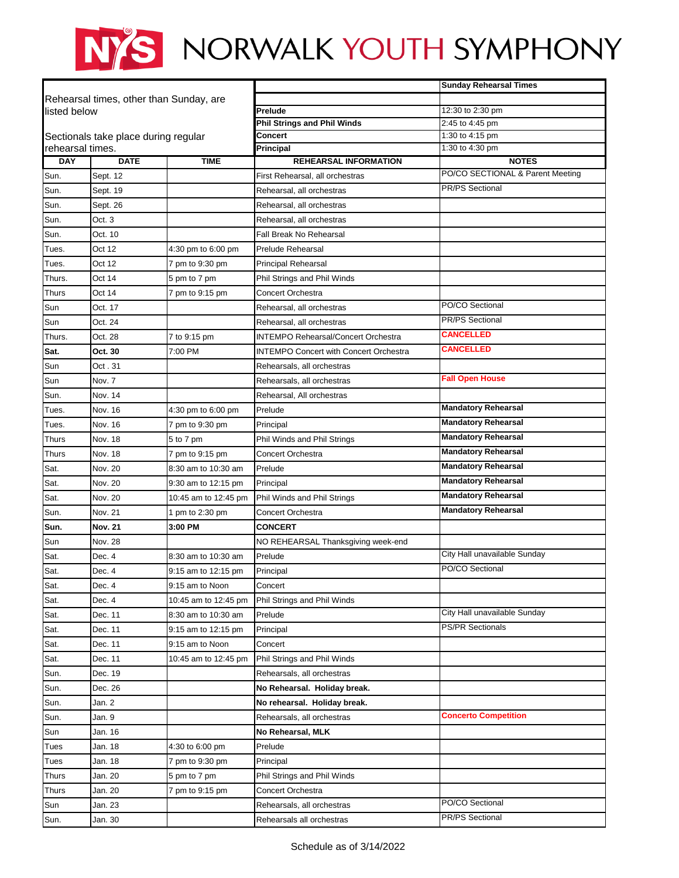## NYS NORWALK YOUTH SYMPHONY

|                                                          |                |                      |                                               | <b>Sunday Rehearsal Times</b>             |
|----------------------------------------------------------|----------------|----------------------|-----------------------------------------------|-------------------------------------------|
| Rehearsal times, other than Sunday, are                  |                |                      |                                               |                                           |
| listed below                                             |                |                      | Prelude                                       | 12:30 to 2:30 pm                          |
|                                                          |                |                      | <b>Phil Strings and Phil Winds</b><br>Concert | 2:45 to 4:45 pm<br>1:30 to 4:15 pm        |
| Sectionals take place during regular<br>rehearsal times. |                |                      | Principal                                     | 1:30 to 4:30 pm                           |
| <b>DAY</b>                                               | <b>DATE</b>    | <b>TIME</b>          | <b>REHEARSAL INFORMATION</b>                  | <b>NOTES</b>                              |
| Sun.                                                     | Sept. 12       |                      | First Rehearsal, all orchestras               | PO/CO SECTIONAL & Parent Meeting          |
| Sun.                                                     | Sept. 19       |                      | Rehearsal, all orchestras                     | <b>PR/PS Sectional</b>                    |
| Sun.                                                     | Sept. 26       |                      | Rehearsal, all orchestras                     |                                           |
| Sun.                                                     | Oct.3          |                      | Rehearsal, all orchestras                     |                                           |
| Sun.                                                     | Oct. 10        |                      | Fall Break No Rehearsal                       |                                           |
| Tues.                                                    | Oct 12         | 4:30 pm to 6:00 pm   | <b>Prelude Rehearsal</b>                      |                                           |
| Tues.                                                    | Oct 12         | 7 pm to 9:30 pm      | <b>Principal Rehearsal</b>                    |                                           |
| Thurs.                                                   | Oct 14         | 5 pm to 7 pm         | Phil Strings and Phil Winds                   |                                           |
| Thurs                                                    | Oct 14         | 7 pm to 9:15 pm      | <b>Concert Orchestra</b>                      |                                           |
| Sun                                                      | Oct. 17        |                      | Rehearsal, all orchestras                     | PO/CO Sectional                           |
| Sun                                                      | Oct. 24        |                      | Rehearsal, all orchestras                     | <b>PR/PS Sectional</b>                    |
| Thurs.                                                   | Oct. 28        | 7 to 9:15 pm         | <b>INTEMPO Rehearsal/Concert Orchestra</b>    | <b>CANCELLED</b>                          |
| Sat.                                                     | Oct. 30        | 7:00 PM              | <b>INTEMPO Concert with Concert Orchestra</b> | <b>CANCELLED</b>                          |
| Sun                                                      | Oct . 31       |                      | Rehearsals, all orchestras                    |                                           |
| Sun                                                      | Nov. 7         |                      | Rehearsals, all orchestras                    | <b>Fall Open House</b>                    |
| Sun.                                                     | Nov. 14        |                      | Rehearsal, All orchestras                     |                                           |
| Tues.                                                    | Nov. 16        | 4:30 pm to 6:00 pm   | Prelude                                       | <b>Mandatory Rehearsal</b>                |
| Tues.                                                    | Nov. 16        | 7 pm to 9:30 pm      | Principal                                     | <b>Mandatory Rehearsal</b>                |
| Thurs                                                    | Nov. 18        | 5 to 7 pm            | Phil Winds and Phil Strings                   | <b>Mandatory Rehearsal</b>                |
| Thurs                                                    | Nov. 18        | 7 pm to 9:15 pm      | Concert Orchestra                             | <b>Mandatory Rehearsal</b>                |
| Sat.                                                     | Nov. 20        | 8:30 am to 10:30 am  | Prelude                                       | <b>Mandatory Rehearsal</b>                |
| Sat.                                                     | Nov. 20        | 9:30 am to 12:15 pm  | Principal                                     | <b>Mandatory Rehearsal</b>                |
| Sat.                                                     | Nov. 20        | 10:45 am to 12:45 pm | Phil Winds and Phil Strings                   | <b>Mandatory Rehearsal</b>                |
| Sun.                                                     | Nov. 21        | 1 pm to 2:30 pm      | <b>Concert Orchestra</b>                      | <b>Mandatory Rehearsal</b>                |
| Sun.                                                     | <b>Nov. 21</b> | 3:00 PM              | <b>CONCERT</b>                                |                                           |
| Sun                                                      | <b>Nov. 28</b> |                      | NO REHEARSAL Thanksgiving week-end            |                                           |
| Sat.                                                     | Dec. 4         | 8:30 am to 10:30 am  | Prelude                                       | City Hall unavailable Sunday              |
| Sat.                                                     | Dec. 4         | 9:15 am to 12:15 pm  | Principal                                     | PO/CO Sectional                           |
| Sat.                                                     | Dec. 4         | 9:15 am to Noon      | Concert                                       |                                           |
| Sat.                                                     | Dec. 4         | 10:45 am to 12:45 pm | Phil Strings and Phil Winds                   |                                           |
| Sat.                                                     | Dec. 11        | 8:30 am to 10:30 am  | Prelude                                       | City Hall unavailable Sunday              |
| Sat.                                                     | Dec. 11        | 9:15 am to 12:15 pm  | Principal                                     | <b>PS/PR Sectionals</b>                   |
| Sat.                                                     | Dec. 11        | 9:15 am to Noon      | Concert                                       |                                           |
| Sat.                                                     | Dec. 11        | 10:45 am to 12:45 pm | Phil Strings and Phil Winds                   |                                           |
| Sun.                                                     | Dec. 19        |                      | Rehearsals, all orchestras                    |                                           |
| Sun.                                                     | Dec. 26        |                      | No Rehearsal. Holiday break.                  |                                           |
| Sun.                                                     | Jan. 2         |                      | No rehearsal. Holiday break.                  |                                           |
| Sun.                                                     | Jan. 9         |                      | Rehearsals, all orchestras                    | <b>Concerto Competition</b>               |
| Sun                                                      | Jan. 16        |                      | No Rehearsal, MLK                             |                                           |
| Tues                                                     | Jan. 18        | 4:30 to 6:00 pm      | Prelude                                       |                                           |
| Tues                                                     | Jan. 18        | 7 pm to 9:30 pm      | Principal                                     |                                           |
| Thurs                                                    | Jan. 20        | 5 pm to 7 pm         | Phil Strings and Phil Winds                   |                                           |
| Thurs                                                    | Jan. 20        | 7 pm to 9:15 pm      | Concert Orchestra                             |                                           |
| Sun                                                      | Jan. 23        |                      | Rehearsals, all orchestras                    | PO/CO Sectional<br><b>PR/PS Sectional</b> |
| Sun.                                                     | Jan. 30        |                      | Rehearsals all orchestras                     |                                           |